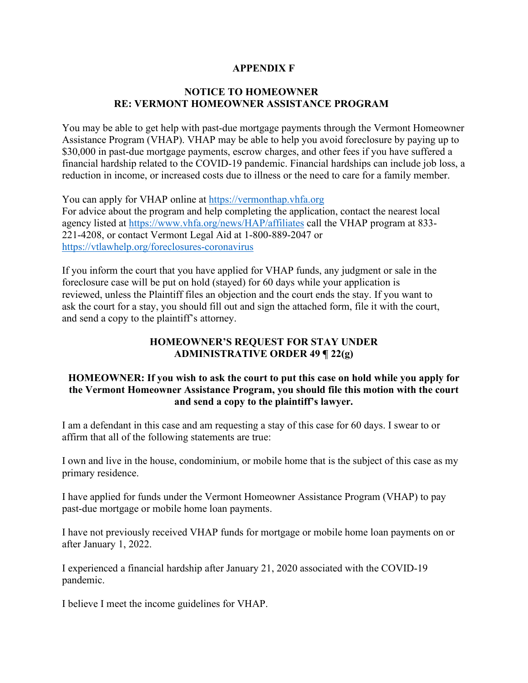## **APPENDIX F**

## **NOTICE TO HOMEOWNER RE: VERMONT HOMEOWNER ASSISTANCE PROGRAM**

You may be able to get help with past-due mortgage payments through the Vermont Homeowner Assistance Program (VHAP). VHAP may be able to help you avoid foreclosure by paying up to \$30,000 in past-due mortgage payments, escrow charges, and other fees if you have suffered a financial hardship related to the COVID-19 pandemic. Financial hardships can include job loss, a reduction in income, or increased costs due to illness or the need to care for a family member.

You can apply for VHAP online at [https://vermonthap.vhfa.org](https://vermonthap.vhfa.org/) For advice about the program and help completing the application, contact the nearest local agency listed at<https://www.vhfa.org/news/HAP/affiliates> call the VHAP program at 833- 221-4208, or contact Vermont Legal Aid at 1-800-889-2047 or <https://vtlawhelp.org/foreclosures-coronavirus>

If you inform the court that you have applied for VHAP funds, any judgment or sale in the foreclosure case will be put on hold (stayed) for 60 days while your application is reviewed, unless the Plaintiff files an objection and the court ends the stay. If you want to ask the court for a stay, you should fill out and sign the attached form, file it with the court, and send a copy to the plaintiff's attorney.

## **HOMEOWNER'S REQUEST FOR STAY UNDER ADMINISTRATIVE ORDER 49 ¶ 22(g)**

## **HOMEOWNER: If you wish to ask the court to put this case on hold while you apply for the Vermont Homeowner Assistance Program, you should file this motion with the court and send a copy to the plaintiff's lawyer.**

I am a defendant in this case and am requesting a stay of this case for 60 days. I swear to or affirm that all of the following statements are true:

I own and live in the house, condominium, or mobile home that is the subject of this case as my primary residence.

I have applied for funds under the Vermont Homeowner Assistance Program (VHAP) to pay past-due mortgage or mobile home loan payments.

I have not previously received VHAP funds for mortgage or mobile home loan payments on or after January 1, 2022.

I experienced a financial hardship after January 21, 2020 associated with the COVID-19 pandemic.

I believe I meet the income guidelines for VHAP.